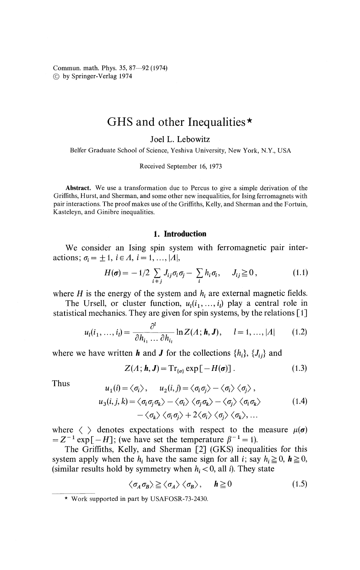Commun. math. Phys. 35, 87—92 (1974) © by Springer-Verlag 1974

## GHS and other Inequalities\*

Joel L. Lebowitz

Belfer Graduate School of Science, Yeshiva University, New York, N.Y., USA

Received September 16, 1973

**Abstract.** We use a transformation due to Percus to give a simple derivation of the Griffiths, Hurst, and Sherman, and some other new inequalities, for Ising ferromagnets with pair interactions. The proof makes use of the Griffiths, Kelly, and Sherman and the Fortuin, Kasteleyn, and Ginibre inequalities.

## **1. Introduction**

We consider an Ising spin system with ferromagnetic pair interactions;  $\sigma_i = \pm 1$ ,  $i \in A$ ,  $i = 1, ..., |A|$ ,

$$
H(\boldsymbol{\sigma}) = -1/2 \sum_{i \neq j} J_{ij} \sigma_i \sigma_j - \sum_i h_i \sigma_i, \quad J_{ij} \geq 0, \qquad (1.1)
$$

where  $H$  is the energy of the system and  $h_i$  are external magnetic fields.

The Ursell, or cluster function,  $u_1(i_1, \ldots, i_l)$  play a central role in statistical mechanics. They are given for spin systems, by the relations [1]

$$
u_l(i_1, ..., i_l) = \frac{\partial^l}{\partial h_{i_1} \dots \partial h_{i_l}} \ln Z(A; \mathbf{h}, \mathbf{J}), \quad l = 1, ..., |A| \qquad (1.2)
$$

where we have written **h** and **J** for the collections  $\{h_i\}$ ,  $\{J_{ij}\}$  and

$$
Z(A; \mathbf{h}, \mathbf{J}) = \mathrm{Tr}_{\{\sigma\}} \exp \left[ -H(\sigma) \right]. \tag{1.3}
$$

**Thus** 

$$
u_1(i) = \langle \sigma_i \rangle, \qquad u_2(i,j) = \langle \sigma_i \sigma_j \rangle - \langle \sigma_i \rangle \langle \sigma_j \rangle,
$$
  
\n
$$
u_3(i,j,k) = \langle \sigma_i \sigma_j \sigma_k \rangle - \langle \sigma_i \rangle \langle \sigma_j \sigma_k \rangle - \langle \sigma_j \rangle \langle \sigma_i \sigma_k \rangle
$$
  
\n
$$
-\langle \sigma_k \rangle \langle \sigma_i \sigma_j \rangle + 2 \langle \sigma_i \rangle \langle \sigma_j \rangle \langle \sigma_k \rangle, ...
$$
\n(1.4)

where  $\langle \rangle$  denotes expectations with respect to the measure  $\mu(\sigma)$  $= Z^{-1} \exp[-H]$ ; (we have set the temperature  $\beta^{-1} = 1$ ).

The Griffiths, Kelly, and Sherman [2] (GKS) inequalities for this system apply when the  $h_i$  have the same sign for all *i*; say  $h_i \ge 0$ ,  $h \ge 0$ , (similar results hold by symmetry when  $h_i < 0$ , all *i*). They state

$$
\langle \sigma_A \sigma_B \rangle \ge \langle \sigma_A \rangle \langle \sigma_B \rangle, \quad h \ge 0 \tag{1.5}
$$

Work supported in part by USAFOSR-73-2430.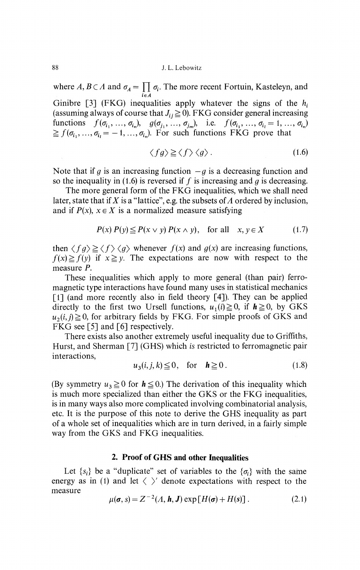where  $A, B \subset A$  and  $\sigma_A = \prod \sigma_i$ . The more recent Fortuin, Kasteleyn, and *ieA*

Ginibre [3] (FKG) inequalities apply whatever the signs of the *h<sup>t</sup>* (assuming always of course that  $J_i \geq 0$ ). FKG consider general increasing functions  $f(\sigma_{i_1}, ..., \sigma_{i_n}), g(\sigma_{j_1}, ..., \sigma_{j_m}),$  i.e.  $f(\sigma_{i_1}, ..., \sigma_{i_l} = 1, ..., \sigma_{i_n})$  $\geq f(\sigma_{i_1},...,\sigma_{i_l}=-1,...,\sigma_{i_n})$ . For such functions FKG prove that

$$
\langle fg \rangle \ge \langle f \rangle \langle g \rangle. \tag{1.6}
$$

Note that if  $g$  is an increasing function  $-g$  is a decreasing function and so the inequality in (1.6) is reversed if  $f$  is increasing and  $g$  is decreasing.

The more general form of the FKG inequalities, which we shall need later, state that if *X* is a "lattice", e.g. the subsets of *A* ordered by inclusion, and if  $P(x)$ ,  $x \in X$  is a normalized measure satisfying

$$
P(x) P(y) \le P(x \vee y) P(x \wedge y), \quad \text{for all} \quad x, y \in X \tag{1.7}
$$

then  $\langle fg \rangle \ge \langle f \rangle \langle g \rangle$  whenever  $f(x)$  and  $g(x)$  are increasing functions,  $f(x) \ge f(y)$  if  $x \ge y$ . The expectations are now with respect to the measure *P.*

These inequalities which apply to more general (than pair) ferro magnetic type interactions have found many uses in statistical mechanics [1] (and more recently also in field theory [4]). They can be applied directly to the first two Ursell functions,  $u_1(i) \ge 0$ , if  $h \ge 0$ , by GKS  $u_2(i, j) \ge 0$ , for arbitrary fields by FKG. For simple proofs of GKS and FKG see [5] and [6] respectively.

There exists also another extremely useful inequality due to Griffiths, Hurst, and Sherman [7] (GHS) which *is* restricted to ferromagnetic pair interactions,

$$
u_3(i,j,k) \leq 0, \quad \text{for} \quad h \geq 0. \tag{1.8}
$$

(By symmetry  $u_3 \ge 0$  for  $h \le 0$ .) The derivation of this inequality which is much more specialized than either the GKS or the FKG inequalities, is in many ways also more complicated involving combinatorial analysis, etc. It is the purpose of this note to derive the GHS inequality as part of a whole set of inequalities which are in turn derived, in a fairly simple way from the GKS and FKG inequalities.

## **2. Proof of GHS and other Inequalities**

Let  $\{s_i\}$  be a "duplicate" set of variables to the  $\{\sigma_i\}$  with the same energy as in (1) and let  $\langle \rangle$  denote expectations with respect to the measure

$$
\mu(\boldsymbol{\sigma}, s) = Z^{-2}(A, \boldsymbol{h}, J) \exp[H(\boldsymbol{\sigma}) + H(s)]. \qquad (2.1)
$$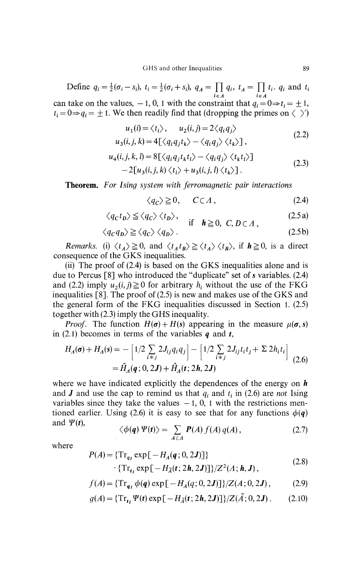Define  $q_i = \frac{1}{2}(\sigma_i - s_i)$ ,  $t_i = \frac{1}{2}(\sigma_i + s_i)$ ,  $q_A = \prod_{i \in A} q_i$ ,  $t_A = \prod_{i \in A} t_i$ .  $q_i$  and  $t_i$ can take on the values,  $-1$ , 0, 1 with the constraint that  $q_i = 0 \Rightarrow t_i = \pm 1$ ,  $f_i = 0 \Rightarrow q_i = \pm 1$ . We then readily find that (dropping the primes on  $\langle \rangle$ )

$$
u_1(i) = \langle t_i \rangle, \qquad u_2(i,j) = 2 \langle q_i q_j \rangle
$$
  
\n
$$
u_3(i,j,k) = 4[\langle q_i q_j t_k \rangle - \langle q_i q_j \rangle \langle t_k \rangle],
$$
\n(2.2)

$$
u_4(i,j,k,l) = 8[\langle q_i q_j t_k t_l \rangle - \langle q_i q_j \rangle \langle t_k t_l \rangle] - 2[u_3(i,j,k) \langle t_l \rangle + u_3(i,j,l) \langle t_k \rangle].
$$
\n(2.3)

**Theorem.** *For Ising system with ferromagnetic pair interactions*

$$
\langle q_{\mathcal{C}} \rangle \geq 0, \quad C \subset \Lambda, \tag{2.4}
$$

$$
\langle q_c t_b \rangle \le \langle q_c \rangle \langle t_b \rangle, \quad \text{if} \quad h \ge 0, \ C, D \subset \Lambda,
$$
 (2.5a)

$$
\langle q_c q_p \rangle \ge \langle q_c \rangle \langle q_p \rangle. \tag{2.5b}
$$

*Remarks.* (i)  $\langle t_A \rangle \ge 0$ , and  $\langle t_A t_B \rangle \ge \langle t_A \rangle \langle t_B \rangle$ , if  $h \ge 0$ , is a direct consequence of the GKS inequalities.

(ii) The proof of (2.4) is based on the GKS inequalities alone and is due to Percus  $\lceil 8 \rceil$  who introduced the "duplicate" set of *s* variables. (2.4) and (2.2) imply  $u_2(i, j) \ge 0$  for arbitrary  $h_i$  without the use of the FKG inequalities [8]. The proof of (2.5) is new and makes use of the GKS and the general form of the FKG inequalities discussed in Section 1. (2.5) together with (2.3) imply the GHS inequality.

*Proof.* The function  $H(\sigma) + H(s)$  appearing in the measure  $\mu(\sigma, s)$ in (2.1) becomes in terms of the variables  $q$  and  $t$ ,

$$
H_A(\sigma) + H_A(s) = -\left[1/2 \sum_{i \neq j} 2J_{ij}q_iq_j\right] - \left[1/2 \sum_{i \neq j} 2J_{ij}t_it_j + \sum 2h_it_i\right] = \hat{H}_A(q; 0, 2J) + \hat{H}_A(t; 2h, 2J)
$$
(2.6)

where we have indicated explicitly the dependences of the energy on *h* and *J* and use the cap to remind us that  $q_i$  and  $t_i$  in (2.6) are *not* Ising variables since they take the values  $-1$ , 0, 1 with the restrictions mentioned earlier. Using (2.6) it is easy to see that for any functions  $\phi(q)$ and  $\Psi(t)$ ,

$$
\langle \phi(q) \Psi(t) \rangle = \sum_{A \subset A} P(A) f(A) q(A), \qquad (2.7)
$$

where

$$
P(A) = \{ \operatorname{Tr}_{q_I} \exp\left[-H_A(q; 0, 2J)\right] \}
$$

$$
\cdot \{ \operatorname{Tr}_{t_I} \exp\left[-H_{\tilde{A}}(t; 2h, 2J)\right] \} / Z^2(\Lambda; h, J), \tag{2.8}
$$

$$
f(A) = \{ \mathrm{Tr}_{q_1} \phi(q) \exp[-H_A(q; 0, 2J)] \} / Z(A; 0, 2J), \tag{2.9}
$$

$$
g(A) = \{ \operatorname{Tr}_{t_1} \Psi(t) \exp\left[-H_{\tilde{A}}(t; 2h, 2J)\right] \} / Z(\tilde{A}; 0, 2J). \tag{2.10}
$$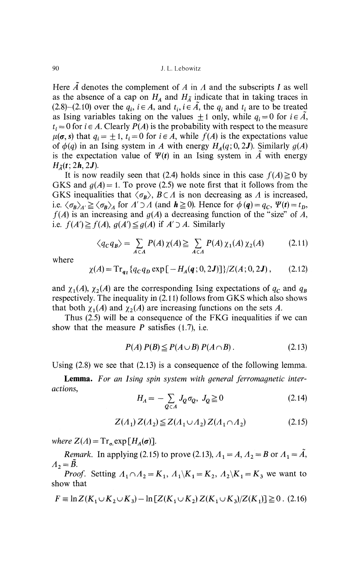90 J. L. Lebowitz

Here  $\tilde{A}$  denotes the complement of A in A and the subscripts I as well as the absence of a cap on  $H_A$  and  $H_{\tilde{A}}$  indicate that in taking traces in  $(2.8)$ – $(2.10)$  over the  $q_i$ ,  $i \in A$ , and  $t_i$ ,  $i \in \tilde{A}$ , the  $q_i$  and  $t_i$  are to be treated as Ising variables taking on the values  $\pm 1$  only, while  $q_i = 0$  for  $i \in \tilde{A}$ ,  $t_i = 0$  for  $i \in A$ . Clearly  $P(A)$  is the probability with respect to the measure  $\mu(\sigma, s)$  that  $q_i = \pm 1$ ,  $t_i = 0$  for  $i \in A$ , while  $f(A)$  is the expectations value of  $\phi(q)$  in an Ising system in *A* with energy  $H_A(q; 0, 2J)$ . Similarly  $g(A)$ is the expectation value of  $\Psi(t)$  in an Ising system in  $\tilde{A}$  with energy  $H_{\tilde{a}}(t;2h,2J).$ 

It is now readily seen that (2.4) holds since in this case  $f(A) \ge 0$  by GKS and  $g(A) = 1$ . To prove (2.5) we note first that it follows from the GKS inequalities that  $\langle \sigma_B \rangle$ ,  $B \subset A$  is non decreasing as A is increased, i.e.  $\langle \sigma_B \rangle_A \ge \langle \sigma_B \rangle_A$  for  $A' \supset A$  (and  $h \ge 0$ ). Hence for  $\phi(q) = q_C$ ,  $\Psi(t) = t_D$ ,  $f(A)$  is an increasing and  $g(A)$  a decreasing function of the "size" of  $\overline{A}$ , i.e.  $f(A') \geq f(A)$ ,  $g(A') \leq g(A)$  if  $A' \supset A$ . Similarly

$$
\langle q_C q_B \rangle = \sum_{A \subset A} P(A) \chi(A) \geq \sum_{A \subset A} P(A) \chi_1(A) \chi_2(A) \tag{2.11}
$$

where

$$
\chi(A) = \mathrm{Tr}_{q_1} \{ q_C q_D \exp \left[ -H_A(q; 0, 2J) \right] \} / Z(A; 0, 2J), \quad (2.12)
$$

and  $\chi_1(A)$ ,  $\chi_2(A)$  are the corresponding Ising expectations of  $q_c$  and  $q_b$ respectively. The inequality in (2.11) follows from GKS which also shows that both  $\chi_1(A)$  and  $\chi_2(A)$  are increasing functions on the sets A.

Thus (2.5) will be a consequence of the FKG inequalities if we can show that the measure *P* satisfies (1.7), i.e.

$$
P(A) P(B) \le P(A \cup B) P(A \cap B). \tag{2.13}
$$

Using  $(2.8)$  we see that  $(2.13)$  is a consequence of the following lemma.

**Lemma.** *For an Ising spin system with general ferromagnetic interactions,*

$$
H_A = -\sum_{Q \subset A} J_Q \sigma_Q, \ J_Q \ge 0 \tag{2.14}
$$

$$
Z(A_1) Z(A_2) \leq Z(A_1 \cup A_2) Z(A_1 \cap A_2)
$$
 (2.15)

*where*  $Z(A) = Tr_{\sigma} exp[H_A(\sigma)].$ 

*Remark.* In applying (2.15) to prove (2.13),  $A_1 = A$ ,  $A_2 = B$  or  $A_1 = \tilde{A}$ ,  $A_2 = \tilde{B}$ .

*Proof.* Setting  $A_1 \cap A_2 = K_1$ ,  $A_1 \setminus K_1 = K_2$ ,  $A_2 \setminus K_1 = K_3$  we want to show that

$$
F \equiv \ln Z(K_1 \cup K_2 \cup K_3) - \ln [Z(K_1 \cup K_2) Z(K_1 \cup K_3)/Z(K_1)] \geq 0. \tag{2.16}
$$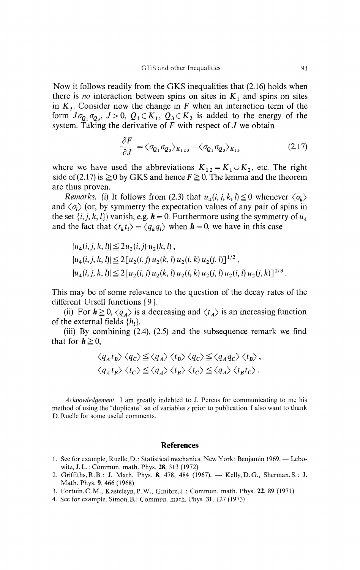Now it follows readily from the GKS inequalities that (2.16) holds when there is *no* interaction between spins on sites in  $K_1$  and spins on sites in  $K_3$ . Consider now the change in  $F$  when an interaction term of the form  $J\sigma_{Q_1}\sigma_{Q_3}$ ,  $J>0$ ,  $Q_1 \subset K_1$ ,  $Q_3 \subset K_3$  is added to the energy of the system. Taking the derivative of  $\tilde{F}$  with respect of  $J$  we obtain

$$
\frac{\partial F}{\partial J} = \langle \sigma_{Q_1} \sigma_{Q_3} \rangle_{K_{123}} - \langle \sigma_{Q_1} \sigma_{Q_3} \rangle_{K_{13}} \tag{2.17}
$$

where we have used the abbreviations  $K_{12} = K_1 \cup K_2$ , etc. The right side of (2.17) is  $\geq$  0 by GKS and hence  $F \geq 0$ . The lemma and the theorem are thus proven.

*Remarks.* (i) It follows from (2.3) that  $u_4(i, j, k, l) \le 0$  whenever  $\langle \sigma_k \rangle$ and  $\langle \sigma_l \rangle$  (or, by symmetry the expectation values of any pair of spins in the set  $\{i, j, k, l\}$  vanish, e.g.  $h = 0$ . Furthermore using the symmetry of  $u_4$ and the fact that  $\langle t_k t_l \rangle = \langle q_k q_l \rangle$  when  $h = 0$ , we have in this case

$$
|u_4(i,j,k,l)| \le 2u_2(i,j) u_2(k,l),
$$
  
\n
$$
|u_4(i,j,k,l)| \le 2[u_2(i,j) u_2(k,l) u_2(i,k) u_2(j,l)]^{1/2},
$$
  
\n
$$
|u_4(i,j,k,l)| \le 2[u_2(i,j) u_2(k,l) u_2(i,k) u_2(j,l) u_2(i,l) u_2(j,k)]^{1/3}.
$$

This may be of some relevance to the question of the decay rates of the different Ursell functions [9].

(ii) For  $h \ge 0$ ,  $\langle q_A \rangle$  is a decreasing and  $\langle t_A \rangle$  is an increasing function of the external fields  $\{h_i\}$ .

(iii) By combining (2.4), (2.5) and the subsequence remark we find that for  $h \geq 0$ ,

$$
\langle q_A t_B \rangle \langle q_C \rangle \le \langle q_A \rangle \langle t_B \rangle \langle q_C \rangle \le \langle q_A q_C \rangle \langle t_B \rangle ,
$$
  

$$
\langle q_A t_B \rangle \langle t_C \rangle \le \langle q_A \rangle \langle t_B \rangle \langle t_C \rangle \le \langle q_A \rangle \langle t_B t_C \rangle .
$$

*Acknowledgement.* I am greatly indebted to J. Percus for communicating to me his method of using the "duplicate" set of variables *s* prior to publication. I also want to thank D. Ruelle for some useful comments.

## **References**

- 1. See for example, Ruelle, D.: Statistical mechanics. New York: Benjamin 1969. Lebo witz, J.L.: Commun. math. Phys. 28, 313 (1972)
- 2. Griffiths, R.B.: J. Math. Phys. 8, 478, 484 (1967). Kelly, D.G., Sherman, S.: J. Math. Phys. 9, 466 (1968)
- 3. Fortuin, C.M., Kasteleyn, P.W., Ginibre, J.: Commun. math. Phys. 22, 89 (1971)
- 4. See for example, Simon,B.: Commun. math. Phys. 31, 127 (1973)